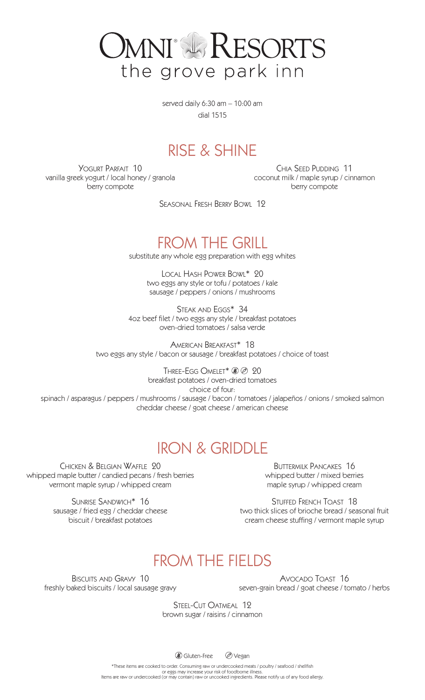

served daily 6:30 am – 10:00 am dial 1515

### RISE & SHINE

YOGURT PARFAIT 10 vanilla greek yogurt / local honey / granola berry compote

Chia Seed Pudding 11 coconut milk / maple syrup / cinnamon berry compote

Seasonal Fresh Berry Bowl 12

### FROM THE GRILL

substitute any whole egg preparation with egg whites

Local Hash Power Bowl\* 20 two eggs any style or tofu / potatoes / kale sausage / peppers / onions / mushrooms

STEAK AND EGGS\* 34 4oz beef filet / two eggs any style / breakfast potatoes oven-dried tomatoes / salsa verde

American Breakfast\* 18 two eggs any style / bacon or sausage / breakfast potatoes / choice of toast

THREE-EGG OMELET\* 20 20 breakfast potatoes / oven-dried tomatoes choice of four: spinach / asparagus / peppers / mushrooms / sausage / bacon / tomatoes / jalapeños / onions / smoked salmon cheddar cheese / goat cheese / american cheese

# IRON & GRIDDLE

Chicken & Belgian Waffle 20 whipped maple butter / candied pecans / fresh berries vermont maple syrup / whipped cream

> Sunrise Sandwich\* 16 sausage / fried egg / cheddar cheese biscuit / breakfast potatoes

Buttermilk Pancakes 16 whipped butter / mixed berries maple syrup / whipped cream

STUFFED FRENCH TOAST 18 two thick slices of brioche bread / seasonal fruit cream cheese stuffing / vermont maple syrup

# FROM THE FIELDS

Biscuits and Gravy 10 freshly baked biscuits / local sausage gravy

Avocado Toast 16 seven-grain bread / goat cheese / tomato / herbs

STEEL-CUT OATMEAL 12 brown sugar / raisins / cinnamon

**GIUten-Free** *S* Vegan

\*These items are cooked to order. Consuming raw or undercooked meats / poultry / seafood / shellfish

or eggs may increase your risk of foodborne illness. Items are raw or undercooked (or may contain) raw or uncooked ingredients. Please notify us of any food allergy.